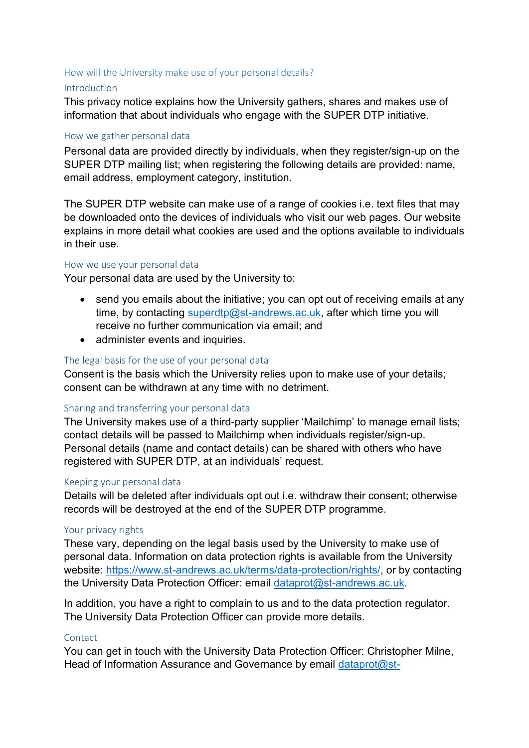# How will the University make use of your personal details?

## Introduction

This privacy notice explains how the University gathers, shares and makes use of information that about individuals who engage with the SUPER DTP initiative.

## How we gather personal data

Personal data are provided directly by individuals, when they register/sign-up on the SUPER DTP mailing list; when registering the following details are provided: name, email address, employment category, institution.

The SUPER DTP website can make use of a range of cookies i.e. text files that may be downloaded onto the devices of individuals who visit our web pages. Our website explains in more detail what cookies are used and the options available to individuals in their use.

### How we use your personal data

Your personal data are used by the University to:

- send you emails about the initiative; you can opt out of receiving emails at any time, by contacting [superdtp@st-andrews.ac.uk,](mailto:superdtp@st-andrews.ac.uk) after which time you will receive no further communication via email; and
- administer events and inquiries.

## The legal basis for the use of your personal data

Consent is the basis which the University relies upon to make use of your details; consent can be withdrawn at any time with no detriment.

#### Sharing and transferring your personal data

The University makes use of a third-party supplier 'Mailchimp' to manage email lists; contact details will be passed to Mailchimp when individuals register/sign-up. Personal details (name and contact details) can be shared with others who have registered with SUPER DTP, at an individuals' request.

## Keeping your personal data

Details will be deleted after individuals opt out i.e. withdraw their consent; otherwise records will be destroyed at the end of the SUPER DTP programme.

### Your privacy rights

These vary, depending on the legal basis used by the University to make use of personal data. Information on data protection rights is available from the University website: [https://www.st-andrews.ac.uk/terms/data-protection/rights/,](https://www.st-andrews.ac.uk/terms/data-protection/rights/) or by contacting the University Data Protection Officer: email [dataprot@st-andrews.ac.uk.](mailto:dataprot@st-andrews.ac.uk)

In addition, you have a right to complain to us and to the data protection regulator. The University Data Protection Officer can provide more details.

## **Contact**

You can get in touch with the University Data Protection Officer: Christopher Milne, Head of Information Assurance and Governance by email [dataprot@st-](mailto:dataprot@st-andrews.ac.uk)